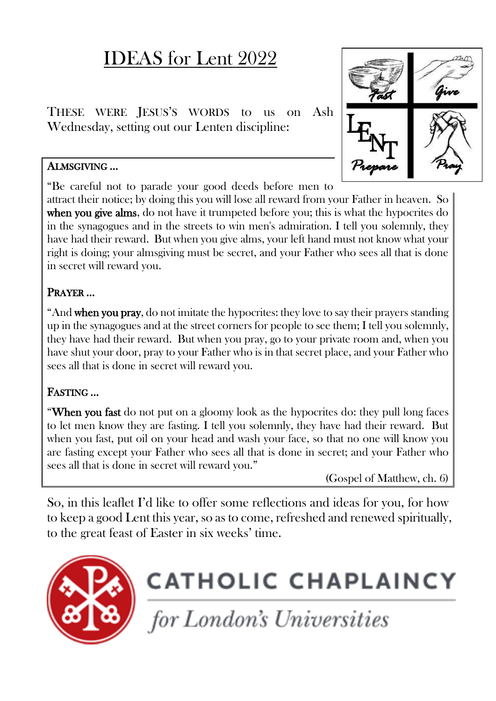## IDEAS for Lent 2022

THESE WERE JESUS'S WORDS to us on Ash Wednesday, setting out our Lenten discipline:

#### ALMSGIVING …

"Be careful not to parade your good deeds before men to

attract their notice; by doing this you will lose all reward from your Father in heaven. So when you give alms, do not have it trumpeted before you; this is what the hypocrites do in the synagogues and in the streets to win men's admiration. I tell you solemnly, they have had their reward. But when you give alms, your left hand must not know what your right is doing; your almsgiving must be secret, and your Father who sees all that is done in secret will reward you.

#### PRAYER …

"And when you pray, do not imitate the hypocrites: they love to say their prayers standing up in the synagogues and at the street corners for people to see them; I tell you solemnly, they have had their reward. But when you pray, go to your private room and, when you have shut your door, pray to your Father who is in that secret place, and your Father who sees all that is done in secret will reward you.

#### FASTING …

"When you fast do not put on a gloomy look as the hypocrites do: they pull long faces to let men know they are fasting. I tell you solemnly, they have had their reward. But when you fast, put oil on your head and wash your face, so that no one will know you are fasting except your Father who sees all that is done in secret; and your Father who sees all that is done in secret will reward you."

(Gospel of Matthew, ch. 6)

So, in this leaflet I'd like to offer some reflections and ideas for you, for how to keep a good Lent this year, so as to come, refreshed and renewed spiritually, to the great feast of Easter in six weeks' time.



# **CATHOLIC CHAPLAINCY**

for London's Universities

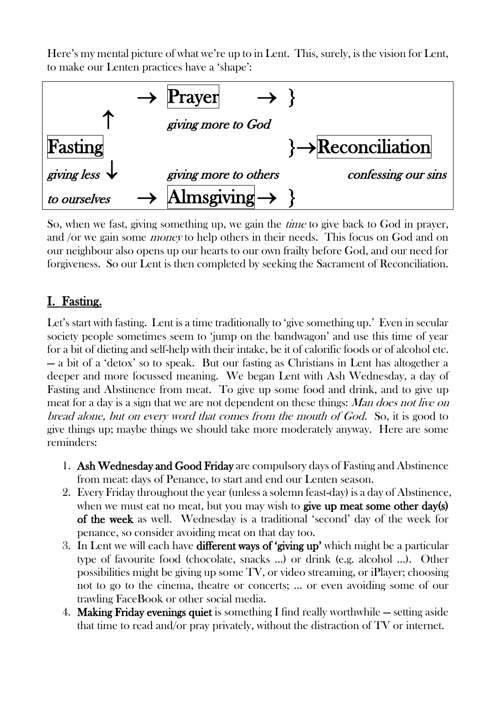Here's my mental picture of what we're up to in Lent. This, surely, is the vision for Lent, to make our Lenten practices have a 'shape':



So, when we fast, giving something up, we gain the *time* to give back to God in prayer, and /or we gain some money to help others in their needs. This focus on God and on our neighbour also opens up our hearts to our own frailty before God, and our need for forgiveness. So our Lent is then completed by seeking the Sacrament of Reconciliation.

#### I. Fasting.

Let's start with fasting. Lent is a time traditionally to 'give something up.' Even in secular society people sometimes seem to 'jump on the bandwagon' and use this time of year for a bit of dieting and self-help with their intake, be it of calorific foods or of alcohol etc. — a bit of a 'detox' so to speak. But our fasting as Christians in Lent has altogether a deeper and more focussed meaning. We began Lent with Ash Wednesday, a day of Fasting and Abstinence from meat. To give up some food and drink, and to give up meat for a day is a sign that we are not dependent on these things: Man does not live on bread alone, but on every word that comes from the mouth of God. So, it is good to give things up; maybe things we should take more moderately anyway. Here are some reminders:

- 1. Ash Wednesday and Good Friday are compulsory days of Fasting and Abstinence from meat: days of Penance, to start and end our Lenten season.
- 2. Every Friday throughout the year (unless a solemn feast-day) is a day of Abstinence, when we must eat no meat, but you may wish to give up meat some other day(s) of the week as well. Wednesday is a traditional 'second' day of the week for penance, so consider avoiding meat on that day too.
- 3. In Lent we will each have different ways of 'giving up' which might be a particular type of favourite food (chocolate, snacks …) or drink (e.g. alcohol …). Other possibilities might be giving up some TV, or video streaming, or iPlayer; choosing not to go to the cinema, theatre or concerts; … or even avoiding some of our trawling FaceBook or other social media.
- 4. Making Friday evenings quiet is something I find really worthwhile setting aside that time to read and/or pray privately, without the distraction of  $TV$  or internet.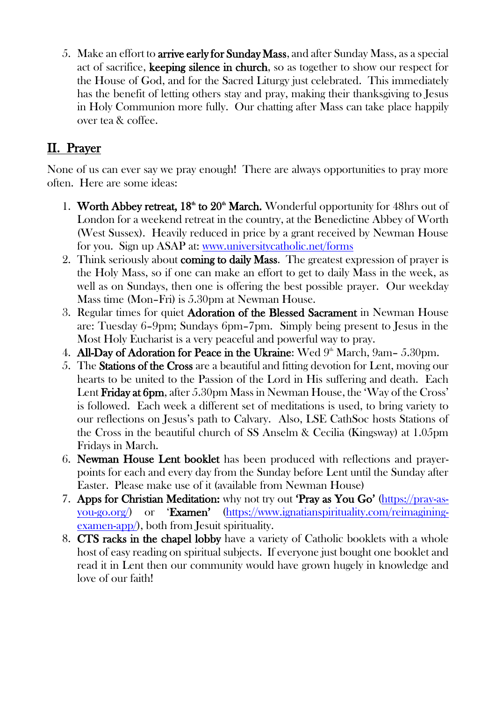5. Make an effort to arrive early for Sunday Mass, and after Sunday Mass, as a special act of sacrifice, keeping silence in church, so as together to show our respect for the House of God, and for the Sacred Liturgy just celebrated. This immediately has the benefit of letting others stay and pray, making their thanksgiving to Jesus in Holy Communion more fully. Our chatting after Mass can take place happily over tea & coffee.

#### II. Prayer

None of us can ever say we pray enough! There are always opportunities to pray more often. Here are some ideas:

- 1. Worth Abbey retreat,  $18<sup>th</sup>$  to  $20<sup>th</sup>$  March. Wonderful opportunity for 48hrs out of London for a weekend retreat in the country, at the Benedictine Abbey of Worth (West Sussex). Heavily reduced in price by a grant received by Newman House for you. Sign up ASAP at: [www.universitycatholic.net/forms](http://www.universitycatholic.net/forms)
- 2. Think seriously about coming to daily Mass. The greatest expression of prayer is the Holy Mass, so if one can make an effort to get to daily Mass in the week, as well as on Sundays, then one is offering the best possible prayer. Our weekday Mass time (Mon–Fri) is 5.30pm at Newman House.
- 3. Regular times for quiet Adoration of the Blessed Sacrament in Newman House are: Tuesday 6–9pm; Sundays 6pm–7pm. Simply being present to Jesus in the Most Holy Eucharist is a very peaceful and powerful way to pray.
- 4. All-Day of Adoration for Peace in the Ukraine: Wed  $9<sup>th</sup>$  March,  $9am 5.30pm$ .
- 5. The Stations of the Cross are a beautiful and fitting devotion for Lent, moving our hearts to be united to the Passion of the Lord in His suffering and death. Each Lent Friday at 6pm, after 5.30pm Mass in Newman House, the 'Way of the Cross' is followed. Each week a different set of meditations is used, to bring variety to our reflections on Jesus's path to Calvary. Also, LSE CathSoc hosts Stations of the Cross in the beautiful church of SS Anselm & Cecilia (Kingsway) at 1.05pm Fridays in March.
- 6. Newman House Lent booklet has been produced with reflections and prayerpoints for each and every day from the Sunday before Lent until the Sunday after Easter. Please make use of it (available from Newman House)
- 7. Apps for Christian Meditation: why not try out 'Pray as You Go' [\(https://pray-as](https://pray-as-you-go.org/)[you-go.org/](https://pray-as-you-go.org/)) or 'Examen' [\(https://www.ignatianspirituality.com/reimagining](https://www.ignatianspirituality.com/reimagining-examen-app/)[examen-app/\)](https://www.ignatianspirituality.com/reimagining-examen-app/), both from Jesuit spirituality.
- 8. CTS racks in the chapel lobby have a variety of Catholic booklets with a whole host of easy reading on spiritual subjects. If everyone just bought one booklet and read it in Lent then our community would have grown hugely in knowledge and love of our faith!